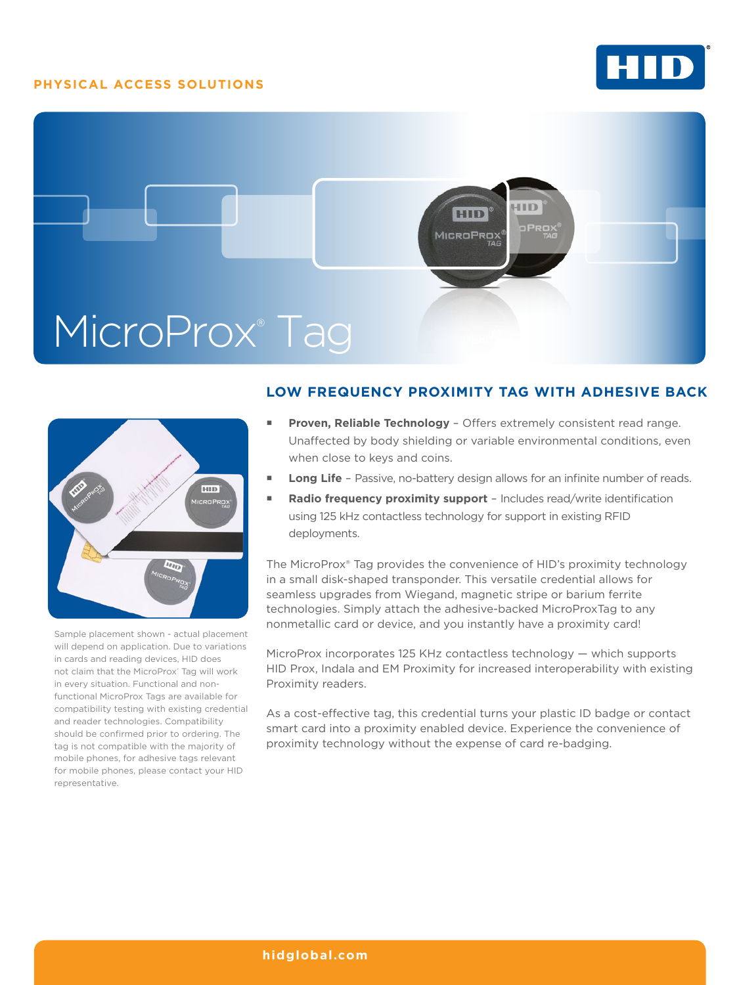## **PHYSICAL ACCESS SOLUTIONS**







Sample placement shown - actual placement will depend on application. Due to variations in cards and reading devices, HID does not claim that the MicroProx® Tag will work in every situation. Functional and nonfunctional MicroProx Tags are available for compatibility testing with existing credential and reader technologies. Compatibility should be confirmed prior to ordering. The tag is not compatible with the majority of mobile phones, for adhesive tags relevant for mobile phones, please contact your HID representative.

# **LOW FREQUENCY PROXIMITY TAG WITH ADHESIVE BACK**

- **Proven, Reliable Technology**  Offers extremely consistent read range. Unaffected by body shielding or variable environmental conditions, even when close to keys and coins.
- **Long Life**  Passive, no-battery design allows for an infinite number of reads.
- **Radio frequency proximity support**  Includes read/write identification using 125 kHz contactless technology for support in existing RFID deployments.

The MicroProx® Tag provides the convenience of HID's proximity technology in a small disk-shaped transponder. This versatile credential allows for seamless upgrades from Wiegand, magnetic stripe or barium ferrite technologies. Simply attach the adhesive-backed MicroProxTag to any nonmetallic card or device, and you instantly have a proximity card!

MicroProx incorporates 125 KHz contactless technology — which supports HID Prox, Indala and EM Proximity for increased interoperability with existing Proximity readers.

As a cost-effective tag, this credential turns your plastic ID badge or contact smart card into a proximity enabled device. Experience the convenience of proximity technology without the expense of card re-badging.